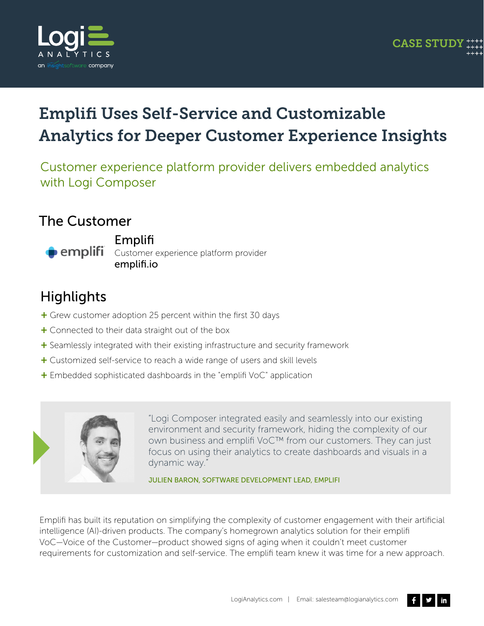

## Emplifi Uses Self-Service and Customizable Analytics for Deeper Customer Experience Insights

Customer experience platform provider delivers embedded analytics with Logi Composer

#### The Customer



Emplifi

**Pemplifi** Customer experience platform provider emplifi.io

#### **Highlights**

- + Grew customer adoption 25 percent within the first 30 days
- + Connected to their data straight out of the box
- + Seamlessly integrated with their existing infrastructure and security framework
- + Customized self-service to reach a wide range of users and skill levels
- $+$  Embedded sophisticated dashboards in the "emplifi VoC" application



"Logi Composer integrated easily and seamlessly into our existing environment and security framework, hiding the complexity of our own business and emplifi VoC™ from our customers. They can just focus on using their analytics to create dashboards and visuals in a dynamic way."

JULIEN BARON, SOFTWARE DEVELOPMENT LEAD, EMPLIFI

Emplifi has built its reputation on simplifying the complexity of customer engagement with their artificial intelligence (AI)-driven products. The company's homegrown analytics solution for their emplifi VoC—Voice of the Customer—product showed signs of aging when it couldn't meet customer requirements for customization and self-service. The emplifi team knew it was time for a new approach.

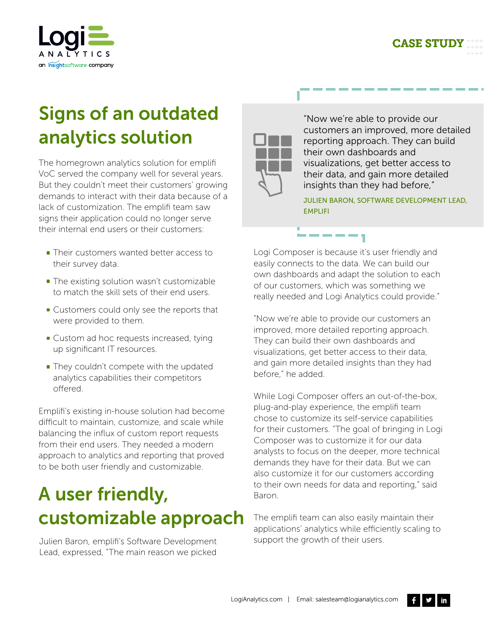



# Signs of an outdated analytics solution

The homegrown analytics solution for emplifi VoC served the company well for several years. But they couldn't meet their customers' growing demands to interact with their data because of a lack of customization. The emplifi team saw signs their application could no longer serve their internal end users or their customers:

- **Their customers wanted better access to** their survey data.
- The existing solution wasn't customizable to match the skill sets of their end users.
- Customers could only see the reports that were provided to them.
- **Custom ad hoc requests increased, tying** up significant IT resources.
- **They couldn't compete with the updated** analytics capabilities their competitors offered

Emplifi's existing in-house solution had become difficult to maintain, customize, and scale while balancing the influx of custom report requests from their end users. They needed a modern approach to analytics and reporting that proved to be both user friendly and customizable.

# A user friendly, customizable approach

Julien Baron, emplifi's Software Development Lead, expressed, "The main reason we picked



"Now we're able to provide our customers an improved, more detailed reporting approach. They can build their own dashboards and visualizations, get better access to their data, and gain more detailed insights than they had before,"

JULIEN BARON, SOFTWARE DEVELOPMENT LEAD, EMPLIFI

Logi Composer is because it's user friendly and easily connects to the data. We can build our own dashboards and adapt the solution to each of our customers, which was something we really needed and Logi Analytics could provide."

"Now we're able to provide our customers an improved, more detailed reporting approach. They can build their own dashboards and visualizations, get better access to their data, and gain more detailed insights than they had before," he added.

While Logi Composer offers an out-of-the-box, plug-and-play experience, the emplifi team chose to customize its self-service capabilities for their customers. "The goal of bringing in Logi Composer was to customize it for our data analysts to focus on the deeper, more technical demands they have for their data. But we can also customize it for our customers according to their own needs for data and reporting," said Baron.

The emplifi team can also easily maintain their applications' analytics while efficiently scaling to support the growth of their users.

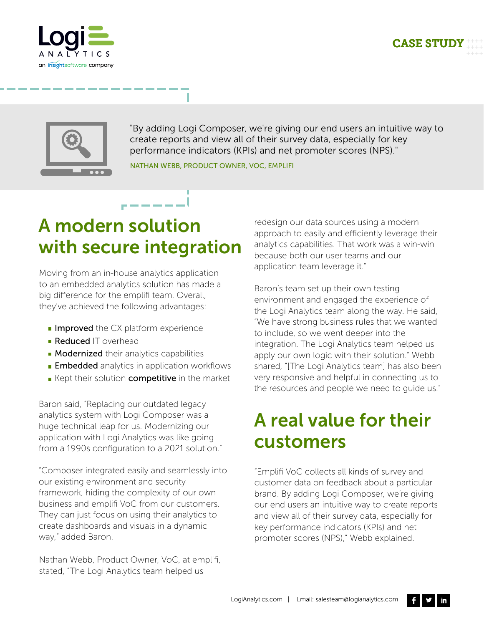++++





"By adding Logi Composer, we're giving our end users an intuitive way to create reports and view all of their survey data, especially for key performance indicators (KPIs) and net promoter scores (NPS)."

NATHAN WEBB, PRODUCT OWNER, VOC, EMPLIFI



Moving from an in-house analytics application to an embedded analytics solution has made a big difference for the emplifi team. Overall, they've achieved the following advantages:

- $\blacksquare$  Improved the CX platform experience
- **Reduced** IT overhead
- **Modernized** their analytics capabilities
- **Embedded** analytics in application workflows
- Kept their solution competitive in the market

Baron said, "Replacing our outdated legacy analytics system with Logi Composer was a huge technical leap for us. Modernizing our application with Logi Analytics was like going from a 1990s configuration to a 2021 solution."

"Composer integrated easily and seamlessly into our existing environment and security framework, hiding the complexity of our own business and emplifi VoC from our customers. They can just focus on using their analytics to create dashboards and visuals in a dynamic way," added Baron.

Nathan Webb, Product Owner, VoC, at emplifi, stated, "The Logi Analytics team helped us

redesign our data sources using a modern approach to easily and efficiently leverage their analytics capabilities. That work was a win-win because both our user teams and our application team leverage it."

Baron's team set up their own testing environment and engaged the experience of the Logi Analytics team along the way. He said, "We have strong business rules that we wanted to include, so we went deeper into the integration. The Logi Analytics team helped us apply our own logic with their solution." Webb shared, "[The Logi Analytics team] has also been very responsive and helpful in connecting us to the resources and people we need to guide us."

## A real value for their customers

"Emplifi VoC collects all kinds of survey and customer data on feedback about a particular brand. By adding Logi Composer, we're giving our end users an intuitive way to create reports and view all of their survey data, especially for key performance indicators (KPIs) and net promoter scores (NPS)," Webb explained.

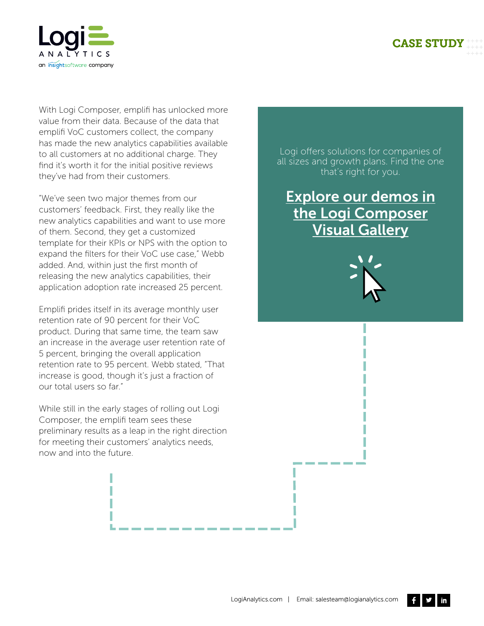#### CASE STUDY ++++ ++++

++++



With Logi Composer, emplifi has unlocked more value from their data. Because of the data that emplifi VoC customers collect, the company has made the new analytics capabilities available to all customers at no additional charge. They find it's worth it for the initial positive reviews they've had from their customers.

"We've seen two major themes from our customers' feedback. First, they really like the new analytics capabilities and want to use more of them. Second, they get a customized template for their KPIs or NPS with the option to expand the filters for their VoC use case," Webb added. And, within just the first month of releasing the new analytics capabilities, their application adoption rate increased 25 percent.

Emplifi prides itself in its average monthly user retention rate of 90 percent for their VoC product. During that same time, the team saw an increase in the average user retention rate of 5 percent, bringing the overall application retention rate to 95 percent. Webb stated, "That increase is good, though it's just a fraction of our total users so far."

While still in the early stages of rolling out Logi Composer, the emplifi team sees these preliminary results as a leap in the right direction for meeting their customers' analytics needs, now and into the future.

Logi offers solutions for companies of all sizes and growth plans. Find the one that's right for you.

Explore our demos in the Logi Composer Visual Gallery